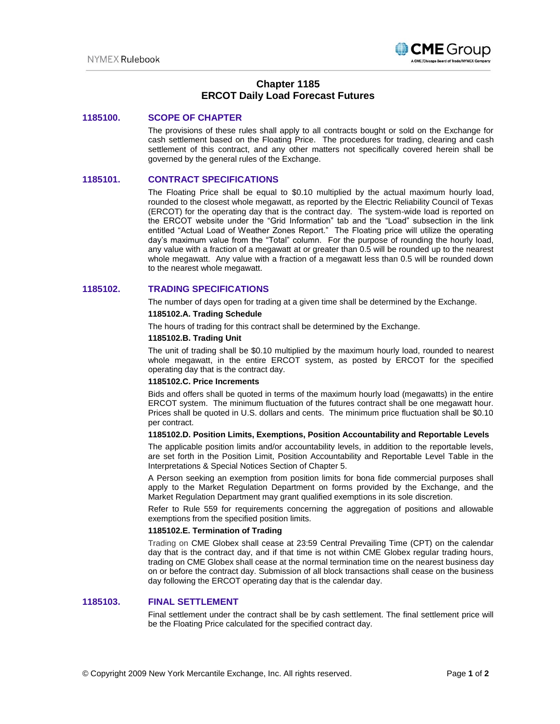

# **Chapter 1185 ERCOT Daily Load Forecast Futures**

# **1185100. SCOPE OF CHAPTER**

The provisions of these rules shall apply to all contracts bought or sold on the Exchange for cash settlement based on the Floating Price. The procedures for trading, clearing and cash settlement of this contract, and any other matters not specifically covered herein shall be governed by the general rules of the Exchange.

# **1185101. CONTRACT SPECIFICATIONS**

The Floating Price shall be equal to \$0.10 multiplied by the actual maximum hourly load, rounded to the closest whole megawatt, as reported by the Electric Reliability Council of Texas (ERCOT) for the operating day that is the contract day. The system-wide load is reported on the ERCOT website under the "Grid Information" tab and the "Load" subsection in the link entitled "Actual Load of Weather Zones Report." The Floating price will utilize the operating day's maximum value from the "Total" column. For the purpose of rounding the hourly load, any value with a fraction of a megawatt at or greater than 0.5 will be rounded up to the nearest whole megawatt. Any value with a fraction of a megawatt less than 0.5 will be rounded down to the nearest whole megawatt.

# **1185102. TRADING SPECIFICATIONS**

The number of days open for trading at a given time shall be determined by the Exchange.

### **1185102.A. Trading Schedule**

The hours of trading for this contract shall be determined by the Exchange.

### **1185102.B. Trading Unit**

The unit of trading shall be \$0.10 multiplied by the maximum hourly load, rounded to nearest whole megawatt, in the entire ERCOT system, as posted by ERCOT for the specified operating day that is the contract day.

## **1185102.C. Price Increments**

Bids and offers shall be quoted in terms of the maximum hourly load (megawatts) in the entire ERCOT system. The minimum fluctuation of the futures contract shall be one megawatt hour. Prices shall be quoted in U.S. dollars and cents. The minimum price fluctuation shall be \$0.10 per contract.

### **1185102.D. Position Limits, Exemptions, Position Accountability and Reportable Levels**

The applicable position limits and/or accountability levels, in addition to the reportable levels, are set forth in the Position Limit, Position Accountability and Reportable Level Table in the Interpretations & Special Notices Section of Chapter 5.

A Person seeking an exemption from position limits for bona fide commercial purposes shall apply to the Market Regulation Department on forms provided by the Exchange, and the Market Regulation Department may grant qualified exemptions in its sole discretion.

Refer to Rule 559 for requirements concerning the aggregation of positions and allowable exemptions from the specified position limits.

### **1185102.E. Termination of Trading**

Trading on CME Globex shall cease at 23:59 Central Prevailing Time (CPT) on the calendar day that is the contract day, and if that time is not within CME Globex regular trading hours, trading on CME Globex shall cease at the normal termination time on the nearest business day on or before the contract day. Submission of all block transactions shall cease on the business day following the ERCOT operating day that is the calendar day.

# **1185103. FINAL SETTLEMENT**

Final settlement under the contract shall be by cash settlement. The final settlement price will be the Floating Price calculated for the specified contract day.